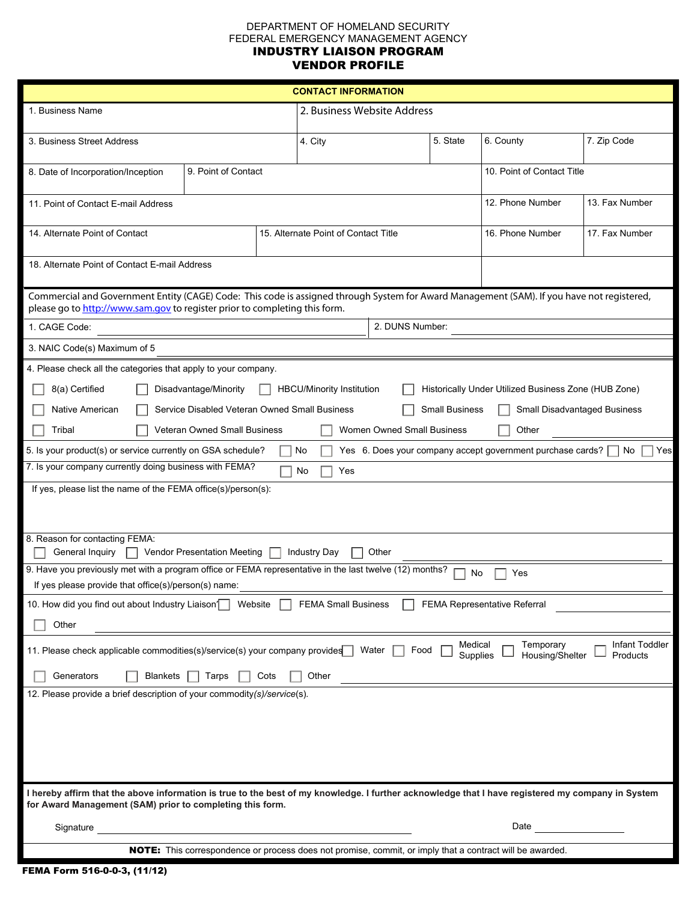## DEPARTMENT OF HOMELAND SECURITY FEDERAL EMERGENCY MANAGEMENT AGENCY INDUSTRY LIAISON PROGRAM VENDOR PROFILE

| <b>CONTACT INFORMATION</b>                                                                                                                                                                                               |                     |                                      |                  |                |                            |                |
|--------------------------------------------------------------------------------------------------------------------------------------------------------------------------------------------------------------------------|---------------------|--------------------------------------|------------------|----------------|----------------------------|----------------|
| 1. Business Name                                                                                                                                                                                                         |                     | 2. Business Website Address          |                  |                |                            |                |
| 3. Business Street Address                                                                                                                                                                                               |                     | 4. City                              |                  | 5. State       | 6. County                  | 7. Zip Code    |
| 8. Date of Incorporation/Inception                                                                                                                                                                                       | 9. Point of Contact |                                      |                  |                | 10. Point of Contact Title |                |
| 11. Point of Contact E-mail Address                                                                                                                                                                                      |                     |                                      | 12. Phone Number | 13. Fax Number |                            |                |
| 14. Alternate Point of Contact                                                                                                                                                                                           |                     | 15. Alternate Point of Contact Title |                  |                | 16. Phone Number           | 17. Fax Number |
| 18. Alternate Point of Contact E-mail Address                                                                                                                                                                            |                     |                                      |                  |                |                            |                |
| Commercial and Government Entity (CAGE) Code: This code is assigned through System for Award Management (SAM). If you have not registered,<br>please go to http://www.sam.gov to register prior to completing this form. |                     |                                      |                  |                |                            |                |
| 2. DUNS Number:<br>1. CAGE Code:                                                                                                                                                                                         |                     |                                      |                  |                |                            |                |
| 3. NAIC Code(s) Maximum of 5                                                                                                                                                                                             |                     |                                      |                  |                |                            |                |
| 4. Please check all the categories that apply to your company.                                                                                                                                                           |                     |                                      |                  |                |                            |                |
| 8(a) Certified<br>HBCU/Minority Institution<br>Historically Under Utilized Business Zone (HUB Zone)<br>Disadvantage/Minority                                                                                             |                     |                                      |                  |                |                            |                |
| Native American<br>Service Disabled Veteran Owned Small Business<br>Small Business<br>Small Disadvantaged Business                                                                                                       |                     |                                      |                  |                |                            |                |
| Veteran Owned Small Business<br>Women Owned Small Business<br>Other<br>Tribal                                                                                                                                            |                     |                                      |                  |                |                            |                |
| 5. Is your product(s) or service currently on GSA schedule?<br>Yes 6. Does your company accept government purchase cards? [<br>Yes<br>No<br>No.                                                                          |                     |                                      |                  |                |                            |                |
| 7. Is your company currently doing business with FEMA?<br>No<br>Yes                                                                                                                                                      |                     |                                      |                  |                |                            |                |
| If yes, please list the name of the FEMA office(s)/person(s):                                                                                                                                                            |                     |                                      |                  |                |                            |                |
|                                                                                                                                                                                                                          |                     |                                      |                  |                |                            |                |
| 8. Reason for contacting FEMA:<br>General Inquiry<br><b>Vendor Presentation Meeting</b><br><b>Industry Day</b><br>Other<br>$\Box$                                                                                        |                     |                                      |                  |                |                            |                |
| 9. Have you previously met with a program office or FEMA representative in the last twelve (12) months?<br>Yes<br>No.                                                                                                    |                     |                                      |                  |                |                            |                |
| If yes please provide that office(s)/person(s) name:                                                                                                                                                                     |                     |                                      |                  |                |                            |                |
| 10. How did you find out about Industry Liaison <sup>1</sup><br>Website<br><b>FEMA Small Business</b><br>FEMA Representative Referral                                                                                    |                     |                                      |                  |                |                            |                |
| Other                                                                                                                                                                                                                    |                     |                                      |                  |                |                            |                |
| Medical<br>Temporary<br>Infant Toddler<br>11. Please check applicable commodities(s)/service(s) your company provides<br>Water<br>Food<br>Housing/Shelter<br>Supplies<br>Products                                        |                     |                                      |                  |                |                            |                |
| Generators<br><b>Blankets</b><br>Tarps<br>Cots<br>Other                                                                                                                                                                  |                     |                                      |                  |                |                            |                |
| 12. Please provide a brief description of your commodity(s)/service(s).                                                                                                                                                  |                     |                                      |                  |                |                            |                |
|                                                                                                                                                                                                                          |                     |                                      |                  |                |                            |                |
|                                                                                                                                                                                                                          |                     |                                      |                  |                |                            |                |
|                                                                                                                                                                                                                          |                     |                                      |                  |                |                            |                |
|                                                                                                                                                                                                                          |                     |                                      |                  |                |                            |                |
| I hereby affirm that the above information is true to the best of my knowledge. I further acknowledge that I have registered my company in System<br>for Award Management (SAM) prior to completing this form.           |                     |                                      |                  |                |                            |                |
| Signature                                                                                                                                                                                                                | Date                |                                      |                  |                |                            |                |
| NOTE: This correspondence or process does not promise, commit, or imply that a contract will be awarded.                                                                                                                 |                     |                                      |                  |                |                            |                |